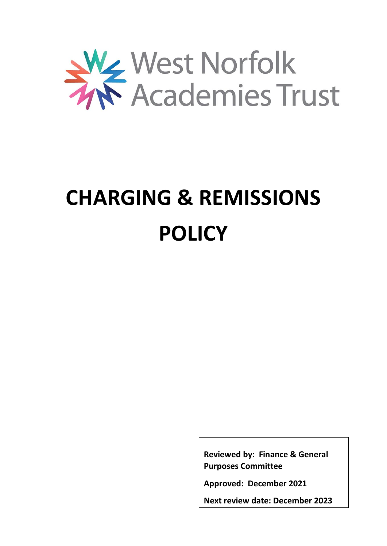

# **CHARGING & REMISSIONS POLICY**

**Reviewed by: Finance & General Purposes Committee**

**Approved: December 2021**

**Next review date: December 2023**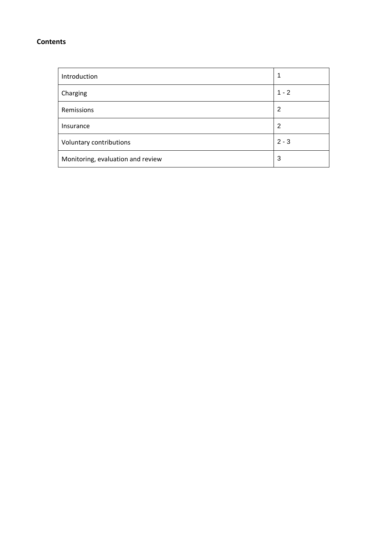### **Contents**

| Introduction                      |         |
|-----------------------------------|---------|
| Charging                          | $1 - 2$ |
| Remissions                        | 2       |
| Insurance                         | 2       |
| Voluntary contributions           | $2 - 3$ |
| Monitoring, evaluation and review | 3       |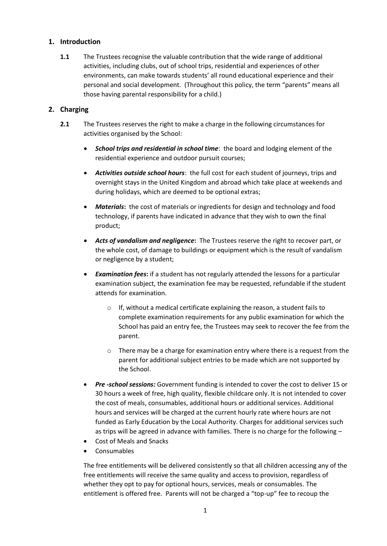### **1. Introduction**

**1.1** The Trustees recognise the valuable contribution that the wide range of additional activities, including clubs, out of school trips, residential and experiences of other environments, can make towards students' all round educational experience and their personal and social development. (Throughout this policy, the term "parents" means all those having parental responsibility for a child.)

## **2. Charging**

- **2.1** The Trustees reserves the right to make a charge in the following circumstances for activities organised by the School:
	- *School trips and residential in school time*: the board and lodging element of the residential experience and outdoor pursuit courses;
	- *Activities outside school hours*: the full cost for each student of journeys, trips and overnight stays in the United Kingdom and abroad which take place at weekends and during holidays, which are deemed to be optional extras;
	- *Materials***:** the cost of materials or ingredients for design and technology and food technology, if parents have indicated in advance that they wish to own the final product;
	- *Acts of vandalism and negligence***:** The Trustees reserve the right to recover part, or the whole cost, of damage to buildings or equipment which is the result of vandalism or negligence by a student;
	- *Examination fees***:** if a student has not regularly attended the lessons for a particular examination subject, the examination fee may be requested, refundable if the student attends for examination.
		- o If, without a medical certificate explaining the reason, a student fails to complete examination requirements for any public examination for which the School has paid an entry fee, the Trustees may seek to recover the fee from the parent.
		- o There may be a charge for examination entry where there is a request from the parent for additional subject entries to be made which are not supported by the School.
	- *Pre -school sessions:* Government funding is intended to cover the cost to deliver 15 or 30 hours a week of free, high quality, flexible childcare only. It is not intended to cover the cost of meals, consumables, additional hours or additional services. Additional hours and services will be charged at the current hourly rate where hours are not funded as Early Education by the Local Authority. Charges for additional services such as trips will be agreed in advance with families. There is no charge for the following –
	- Cost of Meals and Snacks
	- Consumables

The free entitlements will be delivered consistently so that all children accessing any of the free entitlements will receive the same quality and access to provision, regardless of whether they opt to pay for optional hours, services, meals or consumables. The entitlement is offered free. Parents will not be charged a "top-up" fee to recoup the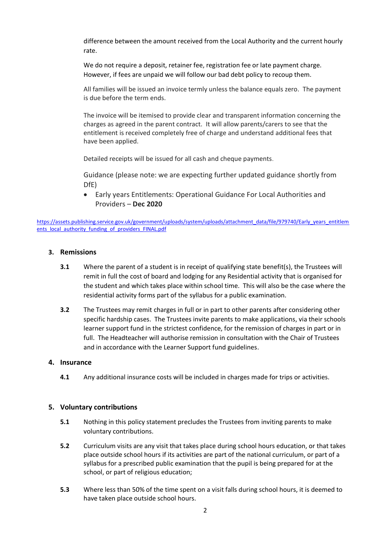difference between the amount received from the Local Authority and the current hourly rate.

We do not require a deposit, retainer fee, registration fee or late payment charge. However, if fees are unpaid we will follow our bad debt policy to recoup them.

All families will be issued an invoice termly unless the balance equals zero. The payment is due before the term ends.

The invoice will be itemised to provide clear and transparent information concerning the charges as agreed in the parent contract. It will allow parents/carers to see that the entitlement is received completely free of charge and understand additional fees that have been applied.

Detailed receipts will be issued for all cash and cheque payments.

Guidance (please note: we are expecting further updated guidance shortly from DfE)

 Early years Entitlements: Operational Guidance For Local Authorities and Providers – **Dec 2020**

[https://assets.publishing.service.gov.uk/government/uploads/system/uploads/attachment\\_data/file/979740/Early\\_years\\_entitlem](https://assets.publishing.service.gov.uk/government/uploads/system/uploads/attachment_data/file/979740/Early_years_entitlements_local_authority_funding_of_providers_FINAL.pdf) ents local authority funding of providers FINAL.pdf

#### **3. Remissions**

- **3.1** Where the parent of a student is in receipt of qualifying state benefit(s), the Trustees will remit in full the cost of board and lodging for any Residential activity that is organised for the student and which takes place within school time. This will also be the case where the residential activity forms part of the syllabus for a public examination.
- **3.2** The Trustees may remit charges in full or in part to other parents after considering other specific hardship cases. The Trustees invite parents to make applications, via their schools learner support fund in the strictest confidence, for the remission of charges in part or in full. The Headteacher will authorise remission in consultation with the Chair of Trustees and in accordance with the Learner Support fund guidelines.

#### **4. Insurance**

**4.1** Any additional insurance costs will be included in charges made for trips or activities.

#### **5. Voluntary contributions**

- **5.1** Nothing in this policy statement precludes the Trustees from inviting parents to make voluntary contributions.
- **5.2** Curriculum visits are any visit that takes place during school hours education, or that takes place outside school hours if its activities are part of the national curriculum, or part of a syllabus for a prescribed public examination that the pupil is being prepared for at the school, or part of religious education;
- **5.3** Where less than 50% of the time spent on a visit falls during school hours, it is deemed to have taken place outside school hours.